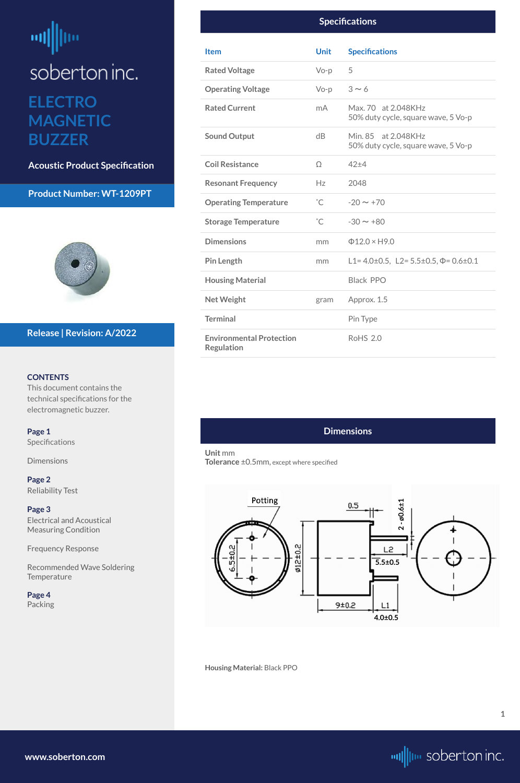# <span id="page-0-0"></span>ᆒ soberton inc. **ELECTRO MAGNETIC BUZZER**

**Acoustic Product Specification**

# **Product Number: WT-1209PT**



#### **CONTENTS**

This document contains the technical specifications for the electromagnetic buzzer.

[Recommended Wave Soldering](#page-2-0)  **[Temperature](#page-2-0)** 

**Page 1** Specifications

**Dimensions** 

**[Page 2](#page-1-0)** [Reliability Test](#page-1-0)

**[Page 3](#page-2-0)** [Electrical and Acoustical](#page-2-0)  [Measuring Condition](#page-2-0)

[Frequency Response](#page-2-0)



# **Release | Revision: A/2022**

**[www.soberton.com](http://www.soberton.com)**



**1**

# **Dimensions**

**Unit** mm **Tolerance** ±0.5mm, except where specified

#### **Housing Material:** Black PPO

|                                                      | <b>Specifications</b> |                                                            |
|------------------------------------------------------|-----------------------|------------------------------------------------------------|
| <b>Item</b>                                          | <b>Unit</b>           | <b>Specifications</b>                                      |
| <b>Rated Voltage</b>                                 | $Vo-p$                | 5                                                          |
| <b>Operating Voltage</b>                             | $Vo-p$                | $3 \sim 6$                                                 |
| <b>Rated Current</b>                                 | mA.                   | Max. 70 at 2.048KHz<br>50% duty cycle, square wave, 5 Vo-p |
| <b>Sound Output</b>                                  | dB                    | Min. 85 at 2.048KHz<br>50% duty cycle, square wave, 5 Vo-p |
| <b>Coil Resistance</b>                               | $\Omega$              | 42±4                                                       |
| <b>Resonant Frequency</b>                            | Hz                    | 2048                                                       |
| <b>Operating Temperature</b>                         | $^{\circ}$ C          | $-20 \sim +70$                                             |
| <b>Storage Temperature</b>                           | $^{\circ}$ C          | $-30 \sim +80$                                             |
| <b>Dimensions</b>                                    | mm                    | $\Phi$ 12.0 × H9.0                                         |
| <b>Pin Length</b>                                    | mm                    | L1=4.0±0.5, L2=5.5±0.5, $\Phi$ =0.6±0.1                    |
| <b>Housing Material</b>                              |                       | <b>Black PPO</b>                                           |
| <b>Net Weight</b>                                    | gram                  | Approx. 1.5                                                |
| <b>Terminal</b>                                      |                       | Pin Type                                                   |
| <b>Environmental Protection</b><br><b>Regulation</b> |                       | <b>RoHS 2.0</b>                                            |

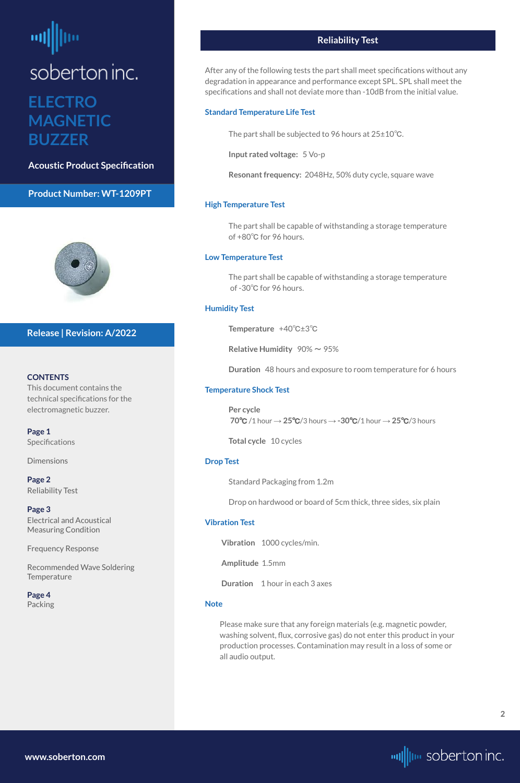# <span id="page-1-0"></span>soberton inc. **ELECTRO MAGNETIC BUZZER**

**Acoustic Product Specification**

## **Product Number: WT-1209PT**



#### **CONTENTS**

**[Page 1](#page-0-0) Specifications** 

This document contains the technical specifications for the electromagnetic buzzer.

[Recommended Wave Soldering](#page-2-0)  **[Temperature](#page-2-0)** 

[Dimensions](#page-0-0)

**Page 2** Reliability Test

**[Page 3](#page-2-0)** [Electrical and Acoustical](#page-2-0)  [Measuring Condition](#page-2-0)

[Frequency Response](#page-2-0)

#### **[Page 4](#page-3-0)** [Packing](#page-3-0)

# **Release | Revision: A/2022**

**[www.soberton.com](http://www.soberton.com)**



# **Reliability Test**

After any of the following tests the part shall meet specifications without any degradation in appearance and performance except SPL. SPL shall meet the specifications and shall not deviate more than -10dB from the initial value.

#### **Standard Temperature Life Test**

The part shall be subjected to 96 hours at 25±10℃.

**Input rated voltage:** 5 Vo-p

**Resonant frequency:** 2048Hz, 50% duty cycle, square wave

#### **High Temperature Test**

The part shall be capable of withstanding a storage temperature of +80℃ for 96 hours.

#### **Low Temperature Test**

The part shall be capable of withstanding a storage temperature of -30℃ for 96 hours.

#### **Humidity Test**

**Temperature** +40℃±3℃

**Relative Humidity** 90% ~ 95%

**Duration** 48 hours and exposure to room temperature for 6 hours

#### **Temperature Shock Test**

**Per cycle 70**℃ /1 hour → **25**℃/3 hours → **-30**℃/1 hour → **25**℃/3 hours

**Total cycle** 10 cycles

#### **Drop Test**

Standard Packaging from 1.2m

Drop on hardwood or board of 5cm thick, three sides, six plain

#### **Vibration Test**

**Vibration** 1000 cycles/min.

**Amplitude** 1.5mm

**Duration** 1 hour in each 3 axes

#### **Note**

Please make sure that any foreign materials (e.g. magnetic powder, washing solvent, flux, corrosive gas) do not enter this product in your production processes. Contamination may result in a loss of some or all audio output.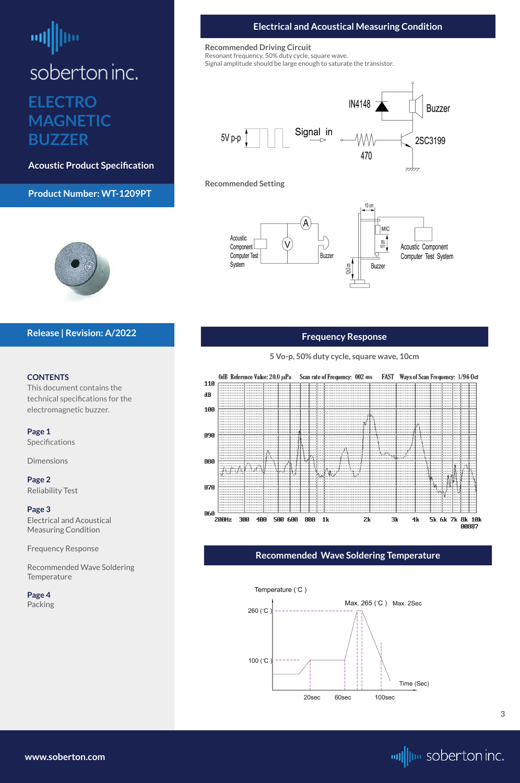# <span id="page-2-0"></span>soberton inc. **ELECTRO MAGNETIC**

**BUZZER**

**Acoustic Product Specification**

# **Product Number: WT-1209PT**



#### **CONTENTS**

This document contains the technical specifications for the electromagnetic buzzer.

Recommended Wave Soldering **Temperature** 

**[Page 1](#page-0-0)** [Specifications](#page-0-0) 

[Dimensions](#page-0-0)

**[Page 2](#page-1-0)** [Reliability Test](#page-1-0)

# **Page 3**

Electrical and Acoustical Measuring Condition

Frequency Response





# **Release | Revision: A/2022**



## **Electrical and Acoustical Measuring Condition**

#### **Recommended Driving Circuit**

Resonant frequency, 50% duty cycle, square wave.

Signal amplitude should be large enough to saturate the transistor.



## **Frequency Response**

#### **Recommended Setting**







## **Recommended Wave Soldering Temperature**

#### Temperature (°C)